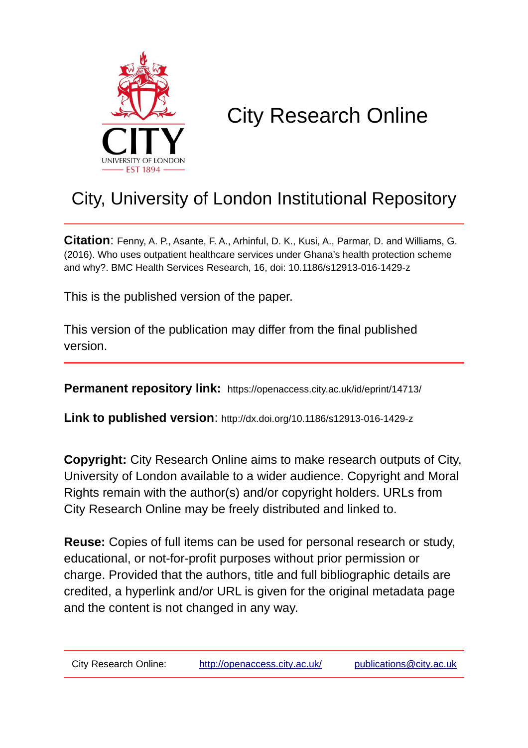

# City Research Online

# City, University of London Institutional Repository

**Citation**: Fenny, A. P., Asante, F. A., Arhinful, D. K., Kusi, A., Parmar, D. and Williams, G. (2016). Who uses outpatient healthcare services under Ghana's health protection scheme and why?. BMC Health Services Research, 16, doi: 10.1186/s12913-016-1429-z

This is the published version of the paper.

This version of the publication may differ from the final published version.

**Permanent repository link:** https://openaccess.city.ac.uk/id/eprint/14713/

**Link to published version**: http://dx.doi.org/10.1186/s12913-016-1429-z

**Copyright:** City Research Online aims to make research outputs of City, University of London available to a wider audience. Copyright and Moral Rights remain with the author(s) and/or copyright holders. URLs from City Research Online may be freely distributed and linked to.

**Reuse:** Copies of full items can be used for personal research or study, educational, or not-for-profit purposes without prior permission or charge. Provided that the authors, title and full bibliographic details are credited, a hyperlink and/or URL is given for the original metadata page and the content is not changed in any way.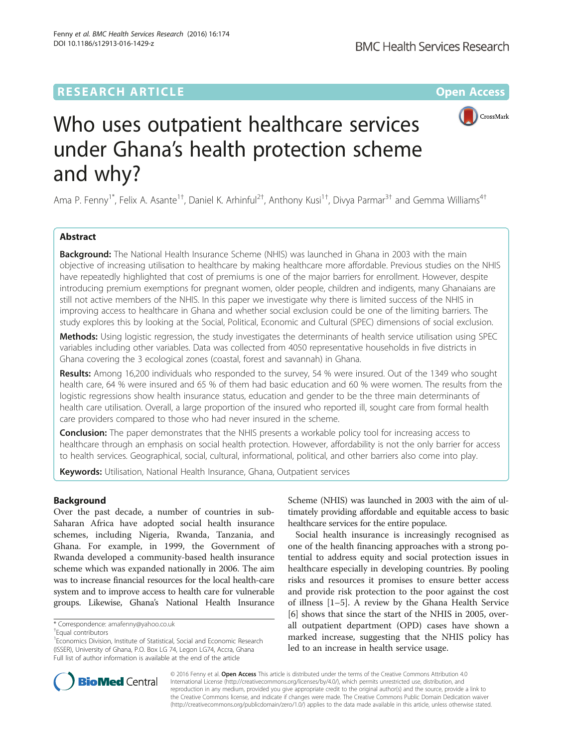# **RESEARCH ARTICLE External Structure Community Community Community Community Community Community Community Community**



# Who uses outpatient healthcare services under Ghana's health protection scheme and why?

Ama P. Fenny<sup>1\*</sup>, Felix A. Asante<sup>1†</sup>, Daniel K. Arhinful<sup>2†</sup>, Anthony Kusi<sup>1†</sup>, Divya Parmar<sup>3†</sup> and Gemma Williams<sup>4†</sup>

# Abstract

**Background:** The National Health Insurance Scheme (NHIS) was launched in Ghana in 2003 with the main objective of increasing utilisation to healthcare by making healthcare more affordable. Previous studies on the NHIS have repeatedly highlighted that cost of premiums is one of the major barriers for enrollment. However, despite introducing premium exemptions for pregnant women, older people, children and indigents, many Ghanaians are still not active members of the NHIS. In this paper we investigate why there is limited success of the NHIS in improving access to healthcare in Ghana and whether social exclusion could be one of the limiting barriers. The study explores this by looking at the Social, Political, Economic and Cultural (SPEC) dimensions of social exclusion.

Methods: Using logistic regression, the study investigates the determinants of health service utilisation using SPEC variables including other variables. Data was collected from 4050 representative households in five districts in Ghana covering the 3 ecological zones (coastal, forest and savannah) in Ghana.

Results: Among 16,200 individuals who responded to the survey, 54 % were insured. Out of the 1349 who sought health care, 64 % were insured and 65 % of them had basic education and 60 % were women. The results from the logistic regressions show health insurance status, education and gender to be the three main determinants of health care utilisation. Overall, a large proportion of the insured who reported ill, sought care from formal health care providers compared to those who had never insured in the scheme.

**Conclusion:** The paper demonstrates that the NHIS presents a workable policy tool for increasing access to healthcare through an emphasis on social health protection. However, affordability is not the only barrier for access to health services. Geographical, social, cultural, informational, political, and other barriers also come into play.

Keywords: Utilisation, National Health Insurance, Ghana, Outpatient services

# Background

Over the past decade, a number of countries in sub-Saharan Africa have adopted social health insurance schemes, including Nigeria, Rwanda, Tanzania, and Ghana. For example, in 1999, the Government of Rwanda developed a community-based health insurance scheme which was expanded nationally in 2006. The aim was to increase financial resources for the local health-care system and to improve access to health care for vulnerable groups. Likewise, Ghana's National Health Insurance

Scheme (NHIS) was launched in 2003 with the aim of ultimately providing affordable and equitable access to basic healthcare services for the entire populace.

Social health insurance is increasingly recognised as one of the health financing approaches with a strong potential to address equity and social protection issues in healthcare especially in developing countries. By pooling risks and resources it promises to ensure better access and provide risk protection to the poor against the cost of illness [\[1](#page-7-0)–[5\]](#page-7-0). A review by the Ghana Health Service [[6\]](#page-8-0) shows that since the start of the NHIS in 2005, overall outpatient department (OPD) cases have shown a marked increase, suggesting that the NHIS policy has led to an increase in health service usage.



© 2016 Fenny et al. Open Access This article is distributed under the terms of the Creative Commons Attribution 4.0 International License [\(http://creativecommons.org/licenses/by/4.0/](http://creativecommons.org/licenses/by/4.0/)), which permits unrestricted use, distribution, and reproduction in any medium, provided you give appropriate credit to the original author(s) and the source, provide a link to the Creative Commons license, and indicate if changes were made. The Creative Commons Public Domain Dedication waiver [\(http://creativecommons.org/publicdomain/zero/1.0/](http://creativecommons.org/publicdomain/zero/1.0/)) applies to the data made available in this article, unless otherwise stated.

<sup>\*</sup> Correspondence: [amafenny@yahoo.co.uk](mailto:amafenny@yahoo.co.uk) †

Equal contributors

<sup>&</sup>lt;sup>1</sup> Economics Division, Institute of Statistical, Social and Economic Research (ISSER), University of Ghana, P.O. Box LG 74, Legon LG74, Accra, Ghana Full list of author information is available at the end of the article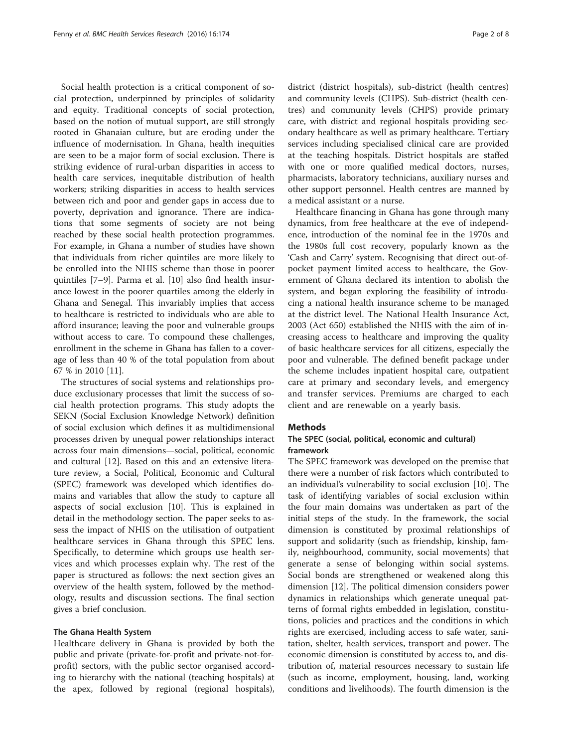Social health protection is a critical component of social protection, underpinned by principles of solidarity and equity. Traditional concepts of social protection, based on the notion of mutual support, are still strongly rooted in Ghanaian culture, but are eroding under the influence of modernisation. In Ghana, health inequities are seen to be a major form of social exclusion. There is striking evidence of rural-urban disparities in access to health care services, inequitable distribution of health workers; striking disparities in access to health services between rich and poor and gender gaps in access due to poverty, deprivation and ignorance. There are indications that some segments of society are not being reached by these social health protection programmes. For example, in Ghana a number of studies have shown that individuals from richer quintiles are more likely to be enrolled into the NHIS scheme than those in poorer quintiles [[7](#page-8-0)–[9](#page-8-0)]. Parma et al. [\[10\]](#page-8-0) also find health insurance lowest in the poorer quartiles among the elderly in Ghana and Senegal. This invariably implies that access to healthcare is restricted to individuals who are able to afford insurance; leaving the poor and vulnerable groups without access to care. To compound these challenges, enrollment in the scheme in Ghana has fallen to a coverage of less than 40 % of the total population from about 67 % in 2010 [[11\]](#page-8-0).

The structures of social systems and relationships produce exclusionary processes that limit the success of social health protection programs. This study adopts the SEKN (Social Exclusion Knowledge Network) definition of social exclusion which defines it as multidimensional processes driven by unequal power relationships interact across four main dimensions—social, political, economic and cultural [[12\]](#page-8-0). Based on this and an extensive literature review, a Social, Political, Economic and Cultural (SPEC) framework was developed which identifies domains and variables that allow the study to capture all aspects of social exclusion [\[10\]](#page-8-0). This is explained in detail in the methodology section. The paper seeks to assess the impact of NHIS on the utilisation of outpatient healthcare services in Ghana through this SPEC lens. Specifically, to determine which groups use health services and which processes explain why. The rest of the paper is structured as follows: the next section gives an overview of the health system, followed by the methodology, results and discussion sections. The final section gives a brief conclusion.

#### The Ghana Health System

Healthcare delivery in Ghana is provided by both the public and private (private-for-profit and private-not-forprofit) sectors, with the public sector organised according to hierarchy with the national (teaching hospitals) at the apex, followed by regional (regional hospitals), district (district hospitals), sub-district (health centres) and community levels (CHPS). Sub-district (health centres) and community levels (CHPS) provide primary care, with district and regional hospitals providing secondary healthcare as well as primary healthcare. Tertiary services including specialised clinical care are provided at the teaching hospitals. District hospitals are staffed with one or more qualified medical doctors, nurses, pharmacists, laboratory technicians, auxiliary nurses and other support personnel. Health centres are manned by a medical assistant or a nurse.

Healthcare financing in Ghana has gone through many dynamics, from free healthcare at the eve of independence, introduction of the nominal fee in the 1970s and the 1980s full cost recovery, popularly known as the 'Cash and Carry' system. Recognising that direct out-ofpocket payment limited access to healthcare, the Government of Ghana declared its intention to abolish the system, and began exploring the feasibility of introducing a national health insurance scheme to be managed at the district level. The National Health Insurance Act, 2003 (Act 650) established the NHIS with the aim of increasing access to healthcare and improving the quality of basic healthcare services for all citizens, especially the poor and vulnerable. The defined benefit package under the scheme includes inpatient hospital care, outpatient care at primary and secondary levels, and emergency and transfer services. Premiums are charged to each client and are renewable on a yearly basis.

# Methods

### The SPEC (social, political, economic and cultural) framework

The SPEC framework was developed on the premise that there were a number of risk factors which contributed to an individual's vulnerability to social exclusion [[10\]](#page-8-0). The task of identifying variables of social exclusion within the four main domains was undertaken as part of the initial steps of the study. In the framework, the social dimension is constituted by proximal relationships of support and solidarity (such as friendship, kinship, family, neighbourhood, community, social movements) that generate a sense of belonging within social systems. Social bonds are strengthened or weakened along this dimension [[12](#page-8-0)]. The political dimension considers power dynamics in relationships which generate unequal patterns of formal rights embedded in legislation, constitutions, policies and practices and the conditions in which rights are exercised, including access to safe water, sanitation, shelter, health services, transport and power. The economic dimension is constituted by access to, and distribution of, material resources necessary to sustain life (such as income, employment, housing, land, working conditions and livelihoods). The fourth dimension is the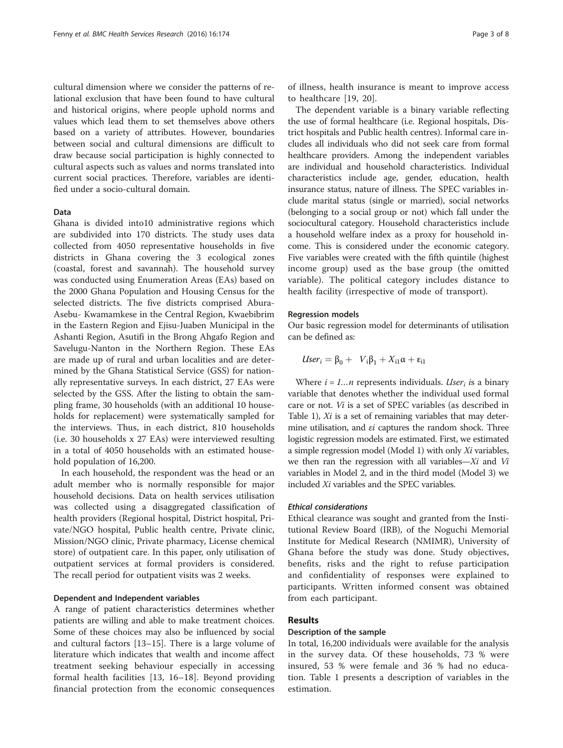cultural dimension where we consider the patterns of relational exclusion that have been found to have cultural and historical origins, where people uphold norms and values which lead them to set themselves above others based on a variety of attributes. However, boundaries between social and cultural dimensions are difficult to draw because social participation is highly connected to cultural aspects such as values and norms translated into current social practices. Therefore, variables are identified under a socio-cultural domain.

### Data

Ghana is divided into10 administrative regions which are subdivided into 170 districts. The study uses data collected from 4050 representative households in five districts in Ghana covering the 3 ecological zones (coastal, forest and savannah). The household survey was conducted using Enumeration Areas (EAs) based on the 2000 Ghana Population and Housing Census for the selected districts. The five districts comprised Abura-Asebu- Kwamamkese in the Central Region, Kwaebibrim in the Eastern Region and Ejisu-Juaben Municipal in the Ashanti Region, Asutifi in the Brong Ahgafo Region and Savelugu-Nanton in the Northern Region. These EAs are made up of rural and urban localities and are determined by the Ghana Statistical Service (GSS) for nationally representative surveys. In each district, 27 EAs were selected by the GSS. After the listing to obtain the sampling frame, 30 households (with an additional 10 households for replacement) were systematically sampled for the interviews. Thus, in each district, 810 households (i.e. 30 households x 27 EAs) were interviewed resulting in a total of 4050 households with an estimated household population of 16,200.

In each household, the respondent was the head or an adult member who is normally responsible for major household decisions. Data on health services utilisation was collected using a disaggregated classification of health providers (Regional hospital, District hospital, Private/NGO hospital, Public health centre, Private clinic, Mission/NGO clinic, Private pharmacy, License chemical store) of outpatient care. In this paper, only utilisation of outpatient services at formal providers is considered. The recall period for outpatient visits was 2 weeks.

#### Dependent and Independent variables

A range of patient characteristics determines whether patients are willing and able to make treatment choices. Some of these choices may also be influenced by social and cultural factors [[13](#page-8-0)–[15](#page-8-0)]. There is a large volume of literature which indicates that wealth and income affect treatment seeking behaviour especially in accessing formal health facilities [[13, 16](#page-8-0)–[18\]](#page-8-0). Beyond providing financial protection from the economic consequences

of illness, health insurance is meant to improve access to healthcare [\[19](#page-8-0), [20](#page-8-0)].

The dependent variable is a binary variable reflecting the use of formal healthcare (i.e. Regional hospitals, District hospitals and Public health centres). Informal care includes all individuals who did not seek care from formal healthcare providers. Among the independent variables are individual and household characteristics. Individual characteristics include age, gender, education, health insurance status, nature of illness. The SPEC variables include marital status (single or married), social networks (belonging to a social group or not) which fall under the sociocultural category. Household characteristics include a household welfare index as a proxy for household income. This is considered under the economic category. Five variables were created with the fifth quintile (highest income group) used as the base group (the omitted variable). The political category includes distance to health facility (irrespective of mode of transport).

#### Regression models

Our basic regression model for determinants of utilisation can be defined as:

$$
User_i = \beta_0 + V_i\beta_1 + X_{i1}\alpha + \varepsilon_{i1}
$$

Where  $i = 1...n$  represents individuals. *User<sub>i</sub>* is a binary variable that denotes whether the individual used formal care or not. Vi is a set of SPEC variables (as described in Table [1](#page-4-0)),  $Xi$  is a set of remaining variables that may determine utilisation, and *εi* captures the random shock. Three logistic regression models are estimated. First, we estimated a simple regression model (Model 1) with only Xi variables, we then ran the regression with all variables— $Xi$  and  $Vi$ variables in Model 2, and in the third model (Model 3) we included Xi variables and the SPEC variables.

#### Ethical considerations

Ethical clearance was sought and granted from the Institutional Review Board (IRB), of the Noguchi Memorial Institute for Medical Research (NMIMR), University of Ghana before the study was done. Study objectives, benefits, risks and the right to refuse participation and confidentiality of responses were explained to participants. Written informed consent was obtained from each participant.

#### Results

#### Description of the sample

In total, 16,200 individuals were available for the analysis in the survey data. Of these households, 73 % were insured, 53 % were female and 36 % had no education. Table [1](#page-4-0) presents a description of variables in the estimation.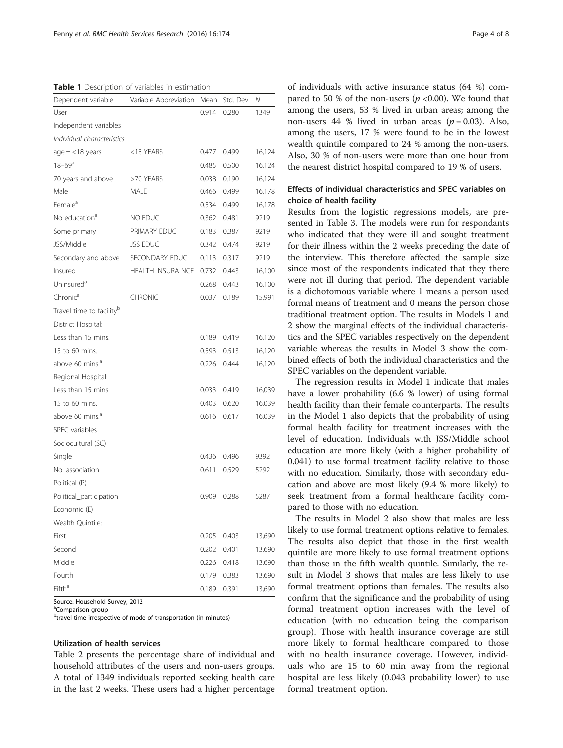<span id="page-4-0"></span>

| Dependent variable                   | Variable Abbreviation | Mean  | Std. Dev. | Ν      |
|--------------------------------------|-----------------------|-------|-----------|--------|
| User                                 |                       | 0.914 | 0.280     | 1349   |
| Independent variables                |                       |       |           |        |
| Individual characteristics           |                       |       |           |        |
| $age = < 18$ years                   | <18 YEARS             | 0.477 | 0.499     | 16,124 |
| $18 - 69$ <sup>a</sup>               |                       | 0.485 | 0.500     | 16,124 |
| 70 years and above                   | >70 YEARS             | 0.038 | 0.190     | 16,124 |
| Male                                 | MALE                  | 0.466 | 0.499     | 16,178 |
| Female <sup>a</sup>                  |                       | 0.534 | 0.499     | 16,178 |
| No education <sup>a</sup>            | NO EDUC               | 0.362 | 0.481     | 9219   |
| Some primary                         | PRIMARY EDUC          | 0.183 | 0.387     | 9219   |
| JSS/Middle                           | <b>JSS EDUC</b>       | 0.342 | 0.474     | 9219   |
| Secondary and above                  | SECONDARY EDUC        | 0.113 | 0.317     | 9219   |
| Insured                              | HEALTH INSURA NCE     | 0.732 | 0.443     | 16,100 |
| Uninsured <sup>a</sup>               |                       | 0.268 | 0.443     | 16,100 |
| Chronic <sup>a</sup>                 | <b>CHRONIC</b>        | 0.037 | 0.189     | 15,991 |
| Travel time to facility <sup>p</sup> |                       |       |           |        |
| District Hospital:                   |                       |       |           |        |
| Less than 15 mins.                   |                       | 0.189 | 0.419     | 16,120 |
| 15 to 60 mins.                       |                       | 0.593 | 0.513     | 16,120 |
| above 60 mins. <sup>a</sup>          |                       | 0.226 | 0.444     | 16,120 |
| Regional Hospital:                   |                       |       |           |        |
| Less than 15 mins.                   |                       | 0.033 | 0.419     | 16,039 |
| 15 to 60 mins.                       |                       | 0.403 | 0.620     | 16,039 |
| above 60 mins. <sup>a</sup>          |                       | 0.616 | 0.617     | 16,039 |
| SPEC variables                       |                       |       |           |        |
| Sociocultural (SC)                   |                       |       |           |        |
| Single                               |                       | 0.436 | 0.496     | 9392   |
| No_association                       |                       | 0.611 | 0.529     | 5292   |
| Political (P)                        |                       |       |           |        |
| Political_participation              |                       | 0.909 | 0.288     | 5287   |
| Economic (E)                         |                       |       |           |        |
| Wealth Quintile:                     |                       |       |           |        |
| First                                |                       | 0.205 | 0.403     | 13,690 |
| Second                               |                       | 0.202 | 0.401     | 13,690 |
| Middle                               |                       | 0.226 | 0.418     | 13,690 |
| Fourth                               |                       | 0.179 | 0.383     | 13,690 |
| Fifth <sup>a</sup>                   |                       | 0.189 | 0.391     | 13,690 |

Source: Household Survey, 2012

<sup>a</sup>Comparison group

<sup>b</sup>travel time irrespective of mode of transportation (in minutes)

#### Utilization of health services

Table [2](#page-5-0) presents the percentage share of individual and household attributes of the users and non-users groups. A total of 1349 individuals reported seeking health care in the last 2 weeks. These users had a higher percentage of individuals with active insurance status (64 %) compared to 50 % of the non-users ( $p$  <0.00). We found that among the users, 53 % lived in urban areas; among the non-users 44 % lived in urban areas  $(p = 0.03)$ . Also, among the users, 17 % were found to be in the lowest wealth quintile compared to 24 % among the non-users. Also, 30 % of non-users were more than one hour from the nearest district hospital compared to 19 % of users.

# Effects of individual characteristics and SPEC variables on choice of health facility

Results from the logistic regressions models, are presented in Table [3](#page-6-0). The models were run for respondants who indicated that they were ill and sought treatment for their illness within the 2 weeks preceding the date of the interview. This therefore affected the sample size since most of the respondents indicated that they there were not ill during that period. The dependent variable is a dichotomous variable where 1 means a person used formal means of treatment and 0 means the person chose traditional treatment option. The results in Models 1 and 2 show the marginal effects of the individual characteristics and the SPEC variables respectively on the dependent variable whereas the results in Model 3 show the combined effects of both the individual characteristics and the SPEC variables on the dependent variable.

The regression results in Model 1 indicate that males have a lower probability (6.6 % lower) of using formal health facility than their female counterparts. The results in the Model 1 also depicts that the probability of using formal health facility for treatment increases with the level of education. Individuals with JSS/Middle school education are more likely (with a higher probability of 0.041) to use formal treatment facility relative to those with no education. Similarly, those with secondary education and above are most likely (9.4 % more likely) to seek treatment from a formal healthcare facility compared to those with no education.

The results in Model 2 also show that males are less likely to use formal treatment options relative to females. The results also depict that those in the first wealth quintile are more likely to use formal treatment options than those in the fifth wealth quintile. Similarly, the result in Model 3 shows that males are less likely to use formal treatment options than females. The results also confirm that the significance and the probability of using formal treatment option increases with the level of education (with no education being the comparison group). Those with health insurance coverage are still more likely to formal healthcare compared to those with no health insurance coverage. However, individuals who are 15 to 60 min away from the regional hospital are less likely (0.043 probability lower) to use formal treatment option.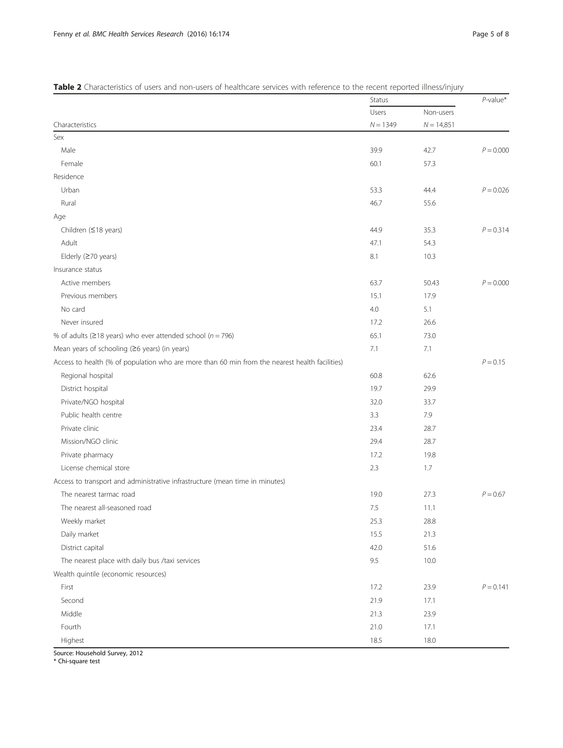|                                                                                                | Status     |              | $P$ -value* |
|------------------------------------------------------------------------------------------------|------------|--------------|-------------|
|                                                                                                | Users      | Non-users    |             |
| Characteristics                                                                                | $N = 1349$ | $N = 14,851$ |             |
| Sex                                                                                            |            |              |             |
| Male                                                                                           | 39.9       | 42.7         | $P = 0.000$ |
| Female                                                                                         | 60.1       | 57.3         |             |
| Residence                                                                                      |            |              |             |
| Urban                                                                                          | 53.3       | 44.4         | $P = 0.026$ |
| Rural                                                                                          | 46.7       | 55.6         |             |
| Age                                                                                            |            |              |             |
| Children (≤18 years)                                                                           | 44.9       | 35.3         | $P = 0.314$ |
| Adult                                                                                          | 47.1       | 54.3         |             |
| Elderly $(≥70 \text{ years})$                                                                  | 8.1        | 10.3         |             |
| Insurance status                                                                               |            |              |             |
| Active members                                                                                 | 63.7       | 50.43        | $P = 0.000$ |
| Previous members                                                                               | 15.1       | 17.9         |             |
| No card                                                                                        | 4.0        | 5.1          |             |
| Never insured                                                                                  | 17.2       | 26.6         |             |
| % of adults ( $\geq$ 18 years) who ever attended school ( $n = 796$ )                          | 65.1       | 73.0         |             |
| Mean years of schooling (≥6 years) (in years)                                                  | 7.1        | 7.1          |             |
| Access to health (% of population who are more than 60 min from the nearest health facilities) |            |              | $P = 0.15$  |
| Regional hospital                                                                              | 60.8       | 62.6         |             |
| District hospital                                                                              | 19.7       | 29.9         |             |
| Private/NGO hospital                                                                           | 32.0       | 33.7         |             |
| Public health centre                                                                           | 3.3        | 7.9          |             |
| Private clinic                                                                                 | 23.4       | 28.7         |             |
| Mission/NGO clinic                                                                             | 29.4       | 28.7         |             |
| Private pharmacy                                                                               | 17.2       | 19.8         |             |
| License chemical store                                                                         | 2.3        | 1.7          |             |
| Access to transport and administrative infrastructure (mean time in minutes)                   |            |              |             |
| The nearest tarmac road                                                                        | 19.0       | 27.3         | $P = 0.67$  |
| The nearest all-seasoned road                                                                  | 7.5        | 11.1         |             |
| Weekly market                                                                                  | 25.3       | 28.8         |             |
| Daily market                                                                                   | 15.5       | 21.3         |             |
| District capital                                                                               | 42.0       | 51.6         |             |
| The nearest place with daily bus /taxi services                                                | 9.5        | 10.0         |             |
| Wealth quintile (economic resources)                                                           |            |              |             |
| First                                                                                          | 17.2       | 23.9         | $P = 0.141$ |
| Second                                                                                         | 21.9       | 17.1         |             |
| Middle                                                                                         | 21.3       | 23.9         |             |
| Fourth                                                                                         | 21.0       | 17.1         |             |
| Highest                                                                                        | 18.5       | 18.0         |             |

<span id="page-5-0"></span>

|  |  |  | Table 2 Characteristics of users and non-users of healthcare services with reference to the recent reported illness/injury |  |
|--|--|--|----------------------------------------------------------------------------------------------------------------------------|--|
|  |  |  |                                                                                                                            |  |

Source: Household Survey, 2012

\* Chi-square test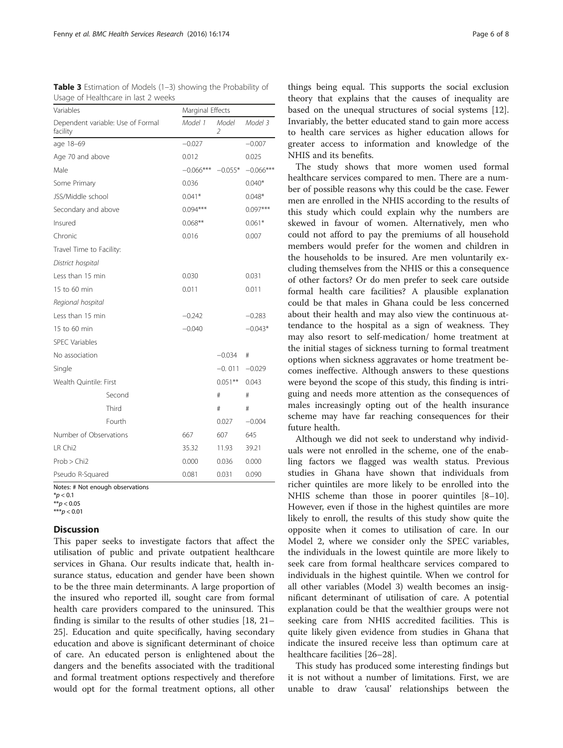| Usaye UI Healtheate III Idst Z Weeks<br>Variables | Marginal Effects |            |             |  |
|---------------------------------------------------|------------------|------------|-------------|--|
| Dependent variable: Use of Formal<br>facility     | Model 1          | Model<br>2 | Model 3     |  |
| age 18-69                                         | $-0.027$         |            | $-0.007$    |  |
| Age 70 and above                                  | 0.012            |            | 0.025       |  |
| Male                                              | $-0.066***$      | $-0.055*$  | $-0.066***$ |  |
| Some Primary                                      | 0.036            |            | $0.040*$    |  |
| JSS/Middle school                                 | $0.041*$         |            | $0.048*$    |  |
| Secondary and above                               | $0.094***$       |            | $0.097***$  |  |
| Insured                                           | $0.068**$        |            | $0.061*$    |  |
| Chronic                                           | 0.016            |            | 0.007       |  |
| Travel Time to Facility:                          |                  |            |             |  |
| District hospital                                 |                  |            |             |  |
| Less than 15 min                                  | 0.030            |            | 0.031       |  |
| 15 to 60 min                                      | 0.011            |            | 0.011       |  |
| Regional hospital                                 |                  |            |             |  |
| Less than 15 min                                  | $-0.242$         |            | $-0.283$    |  |
| 15 to 60 min                                      | $-0.040$         |            | $-0.043*$   |  |
| <b>SPEC Variables</b>                             |                  |            |             |  |
| No association                                    |                  | $-0.034$   | #           |  |
| Single                                            |                  | $-0.011$   | $-0.029$    |  |
| Wealth Quintile: First                            |                  | $0.051***$ | 0.043       |  |
| Second                                            |                  | #          | #           |  |
| Third                                             |                  | #          | #           |  |
| Fourth                                            |                  | 0.027      | $-0.004$    |  |
| Number of Observations                            | 667              | 607        | 645         |  |
| LR Chi <sub>2</sub>                               | 35.32            | 11.93      | 39.21       |  |
| Prob > Chi2                                       | 0.000            | 0.036      | 0.000       |  |
| Pseudo R-Squared                                  | 0.081            | 0.031      | 0.090       |  |

<span id="page-6-0"></span>Table 3 Estimation of Models (1-3) showing the Probability of Usage of Healthcare in last 2 weeks

Notes: # Not enough observations

 $*$ *p* < 0.05

\*\*\* $p < 0.01$ 

#### **Discussion**

This paper seeks to investigate factors that affect the utilisation of public and private outpatient healthcare services in Ghana. Our results indicate that, health insurance status, education and gender have been shown to be the three main determinants. A large proportion of the insured who reported ill, sought care from formal health care providers compared to the uninsured. This finding is similar to the results of other studies [\[18](#page-8-0), [21](#page-8-0)– [25\]](#page-8-0). Education and quite specifically, having secondary education and above is significant determinant of choice of care. An educated person is enlightened about the dangers and the benefits associated with the traditional and formal treatment options respectively and therefore would opt for the formal treatment options, all other

things being equal. This supports the social exclusion theory that explains that the causes of inequality are based on the unequal structures of social systems [\[12](#page-8-0)]. Invariably, the better educated stand to gain more access to health care services as higher education allows for greater access to information and knowledge of the NHIS and its benefits.

The study shows that more women used formal healthcare services compared to men. There are a number of possible reasons why this could be the case. Fewer men are enrolled in the NHIS according to the results of this study which could explain why the numbers are skewed in favour of women. Alternatively, men who could not afford to pay the premiums of all household members would prefer for the women and children in the households to be insured. Are men voluntarily excluding themselves from the NHIS or this a consequence of other factors? Or do men prefer to seek care outside formal health care facilities? A plausible explanation could be that males in Ghana could be less concerned about their health and may also view the continuous attendance to the hospital as a sign of weakness. They may also resort to self-medication/ home treatment at the initial stages of sickness turning to formal treatment options when sickness aggravates or home treatment becomes ineffective. Although answers to these questions were beyond the scope of this study, this finding is intriguing and needs more attention as the consequences of males increasingly opting out of the health insurance scheme may have far reaching consequences for their future health.

Although we did not seek to understand why individuals were not enrolled in the scheme, one of the enabling factors we flagged was wealth status. Previous studies in Ghana have shown that individuals from richer quintiles are more likely to be enrolled into the NHIS scheme than those in poorer quintiles [[8](#page-8-0)–[10](#page-8-0)]. However, even if those in the highest quintiles are more likely to enroll, the results of this study show quite the opposite when it comes to utilisation of care. In our Model 2, where we consider only the SPEC variables, the individuals in the lowest quintile are more likely to seek care from formal healthcare services compared to individuals in the highest quintile. When we control for all other variables (Model 3) wealth becomes an insignificant determinant of utilisation of care. A potential explanation could be that the wealthier groups were not seeking care from NHIS accredited facilities. This is quite likely given evidence from studies in Ghana that indicate the insured receive less than optimum care at healthcare facilities [\[26](#page-8-0)–[28\]](#page-8-0).

This study has produced some interesting findings but it is not without a number of limitations. First, we are unable to draw 'causal' relationships between the

 $*$ *p* < 0.1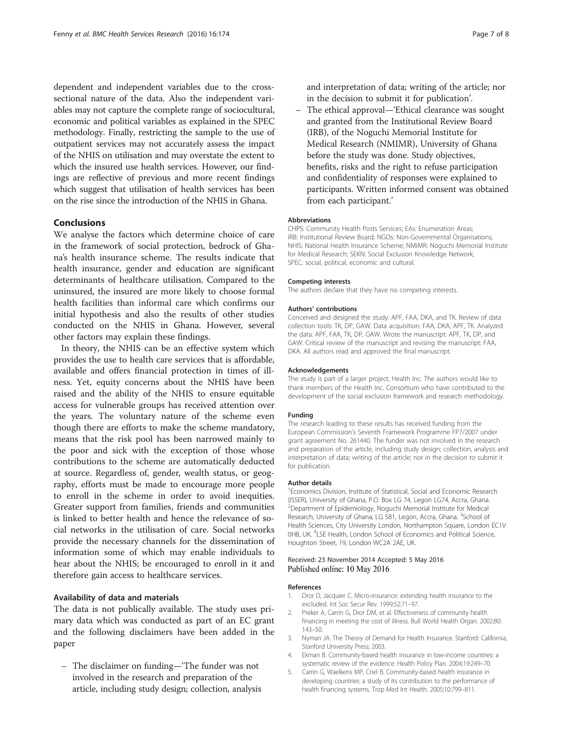<span id="page-7-0"></span>dependent and independent variables due to the crosssectional nature of the data. Also the independent variables may not capture the complete range of sociocultural, economic and political variables as explained in the SPEC methodology. Finally, restricting the sample to the use of outpatient services may not accurately assess the impact of the NHIS on utilisation and may overstate the extent to which the insured use health services. However, our findings are reflective of previous and more recent findings which suggest that utilisation of health services has been on the rise since the introduction of the NHIS in Ghana.

# Conclusions

We analyse the factors which determine choice of care in the framework of social protection, bedrock of Ghana's health insurance scheme. The results indicate that health insurance, gender and education are significant determinants of healthcare utilisation. Compared to the uninsured, the insured are more likely to choose formal health facilities than informal care which confirms our initial hypothesis and also the results of other studies conducted on the NHIS in Ghana. However, several other factors may explain these findings.

In theory, the NHIS can be an effective system which provides the use to health care services that is affordable, available and offers financial protection in times of illness. Yet, equity concerns about the NHIS have been raised and the ability of the NHIS to ensure equitable access for vulnerable groups has received attention over the years. The voluntary nature of the scheme even though there are efforts to make the scheme mandatory, means that the risk pool has been narrowed mainly to the poor and sick with the exception of those whose contributions to the scheme are automatically deducted at source. Regardless of, gender, wealth status, or geography, efforts must be made to encourage more people to enroll in the scheme in order to avoid inequities. Greater support from families, friends and communities is linked to better health and hence the relevance of social networks in the utilisation of care. Social networks provide the necessary channels for the dissemination of information some of which may enable individuals to hear about the NHIS; be encouraged to enroll in it and therefore gain access to healthcare services.

### Availability of data and materials

The data is not publically available. The study uses primary data which was conducted as part of an EC grant and the following disclaimers have been added in the paper

– The disclaimer on funding—'The funder was not involved in the research and preparation of the article, including study design; collection, analysis and interpretation of data; writing of the article; nor in the decision to submit it for publication'.

– The ethical approval—'Ethical clearance was sought and granted from the Institutional Review Board (IRB), of the Noguchi Memorial Institute for Medical Research (NMIMR), University of Ghana before the study was done. Study objectives, benefits, risks and the right to refuse participation and confidentiality of responses were explained to participants. Written informed consent was obtained from each participant.'

#### **Abbreviations**

CHPS: Community Health Posts Services; EAs: Enumeration Areas; IRB: Institutional Review Board; NGOs: Non-Governmental Organisations; NHIS: National Health Insurance Scheme; NMIMR: Noguchi Memorial Institute for Medical Research; SEKN: Social Exclusion Knowledge Network; SPEC: social, political, economic and cultural.

#### Competing interests

The authors declare that they have no competing interests.

#### Authors' contributions

Conceived and designed the study: APF, FAA, DKA, and TK. Review of data collection tools: TK, DP, GAW. Data acquisition: FAA, DKA, APF, TK. Analyzed the data: APF, FAA, TK, DP, GAW. Wrote the manuscript: APF, TK, DP, and GAW. Critical review of the manuscript and revising the manuscript: FAA, DKA. All authors read and approved the final manuscript.

#### Acknowledgements

The study is part of a larger project, Health Inc. The authors would like to thank members of the Health Inc. Consortium who have contributed to the development of the social exclusion framework and research methodology.

#### Funding

The research leading to these results has received funding from the European Commission's Seventh Framework Programme FP7/2007 under grant agreement No. 261440. The funder was not involved in the research and preparation of the article, including study design; collection, analysis and interpretation of data; writing of the article; nor in the decision to submit it for publication.

#### Author details

<sup>1</sup> Economics Division, Institute of Statistical, Social and Economic Research (ISSER), University of Ghana, P.O. Box LG 74, Legon LG74, Accra, Ghana. 2 Department of Epidemiology, Noguchi Memorial Institute for Medical Research, University of Ghana, LG 581, Legon, Accra, Ghana. <sup>3</sup>School of Health Sciences, City University London, Northampton Square, London EC1V 0HB, UK. <sup>4</sup>LSE Health, London School of Economics and Political Science, Houghton Street, 19, London WC2A 2AE, UK.

#### Received: 23 November 2014 Accepted: 5 May 2016 Published online: 10 May 2016

#### References

- 1. Dror D, Jacquier C. Micro-insurance: extending health insurance to the excluded. Int Soc Secur Rev. 1999;52:71–97.
- 2. Preker A, Carrin G, Dror DM, et al. Effectiveness of community health financing in meeting the cost of illness. Bull World Health Organ. 2002;80: 143–50.
- 3. Nyman JA. The Theory of Demand for Health Insurance. Stanford: California, Stanford University Press; 2003.
- 4. Ekman B. Community-based health insurance in low-income countries: a systematic review of the evidence. Health Policy Plan. 2004;19:249–70.
- 5. Carrin G, Waelkens MP, Criel B. Community-based health insurance in developing countries: a study of its contribution to the performance of health financing systems. Trop Med Int Health. 2005;10:799–811.